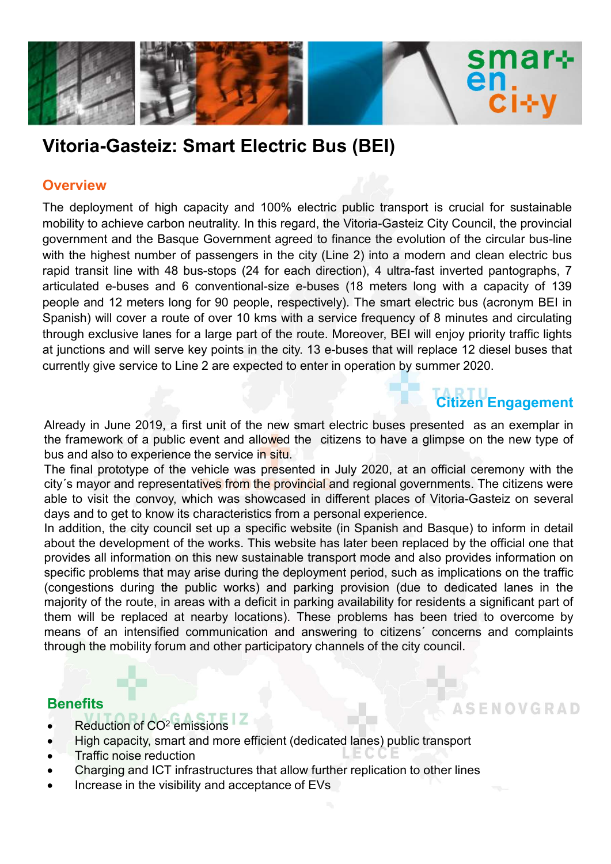

## Vitoria-Gasteiz: Smart Electric Bus (BEI)

#### **Overview**

SMATHERES CHERES TO THE REAL THE BAST CHERE CHERE AND REAL THE REAL THE REAL THEORET THE REAL THEORET THE PROVIDE THE PROVIDE THE PROVIDE THE PROVIDE THE PROVIDE THE PROVIDE THE PROVIDE THE PROVIDE THE PROVIDE THE PROVIDE Witoria-Gasteiz: Smart Electric Bus (BEI)<br>
Overview<br>
The deployment of high capacity and 100% electric public transport is crucial for sustainable<br>
mobility to achieve carbon neutrality. In this regard, the Vitoria-Gasteiz **SMAT-**<br>
Vitoria-Gasteiz: Smart Electric Bus (BEI)<br>
Overview<br>
The deployment of high capacity and 100% electric public transport is crucial for sustainable<br>
mobility to achieve carbon neutrality. In this regard, the Vitori **EXECUTE:**<br> **EXECUTE:**<br> **START START EXECUTE:**<br> **START EXECUTE:**<br> **OVERVIEW**<br>
The deployment of high capacity and 100% electric public transport is crucial for sustainable<br>
mobility to achieve carbon neutrality. In this re **Example and the Based and 12 meters long for 90 people and 12 meters long for 14 methods of the deployment of high capacity and 100% electric public transport is crucial for sustainable mobility to achieve carbon neutrali** SMaT+<br>
Vitoria-Gasteiz: Smart Electric Bus (BEI)<br>
Overview<br>
The deployment of high capacity and 100% electric public transport is crucial for sustainable<br>
mobility to achieve carbon neutrality. In this regard, the Vitoria-**Exclusive lange process for a large part of the relation of the route.**<br>The deployment of high capacity and 100% electric public transport is crucial for sustainable mobility to a chosen neutrality. In this regard, the Vi **Example 12**<br> **Example 10**<br> **Diverview**<br>
The deployment of high capacity and 100% electric public transport is crucial for sustainable<br>
mobility to achieve carbon neutrality. In this regard, the Vitoria-Gasteiz City Counci C I-1-V<br>
Vitoria-Gasteiz: Smart Electric Bus (BEI)<br>
Overview<br>
The deployment of high capacity and 100% electric public transport is crucial for sustainable<br>
mobility to achieve carbon neutrality. In this regard, the Vitori **Overview**<br>The deployment of high capacity and 100% electric public transport is crucial for sustainable<br>mobility to achieve carbon neutrality. In this regard, the Vitoria-Gasteiz City Council, the provincial<br>apovernment a **Overview**<br>The deployment of high capacity and 100% electric public transport is crucial for sustainable<br>mobility to achieve carbon neutrality. In this regard, the Vitoria-Gasteiz City Council, the provincial<br>government an **Dre view**<br> **Chromogredity** constrained the strategient and 100% electric public transport is crucial for sustainable<br>
Imobility to achieve carbon neutrality. In this regard, the Vitoria-Gasteiz City Council, the provincia The deployment of high capacity and 100% electric public transport is crucial for sustainable<br>monoflility to achieve carbon neutrality. In this regard, the Vitoria-Gasteliz City Counrul, the provincial<br>monoflity to achieve mobility to achieve carbon neutrality. In this regard, the Vitoria-Gasteiz City Council, the provincial<br>government and the Basque Government agreed to finance the evolution of the circuar bus-line<br>with the inghest number o government and the Basque Government agreed to finance the evolution of the circular bus-line<br>with the highest number of passenges in the city (Line 2) into a modern and clean electric bus<br>argivit transit line with 48 buswith the highest number of passengers in the city (Line 2) into a modern and clean electric bus<br>rapid transit line with 48 bus-slops (24 for each direction), 4 ultra-fast inverted pantographs, 7<br>articulated e-buses and 6 c rapid transit line with 48 bus-stops (24 for each direction), 4 ultra-fast inverted pantographs, 7<br>ericpludate e-buses and 6 conventional-size e-buses (18 meters long with a capacity of 139<br>people and 12 meters long for 90 anticulated e-buses and 6 conventional-size e-buses (18 meters long with a capacity of 139<br>people and 12 meters long for 90 people, respectively). The smart electric bus (acronym BEI in<br>Spanish) will cover a route of over

# Citizen Engagement

experience and the method of the method in this website. The matter is experimented in the provides all information of prophet and incruding the control of our summation of the mode. Moreover, BEI in Spanish) will cover a species that the correlation of the veriod, the veriod of the control of the control of the control of the control of the control of the control of the control of the deplot of the deplot of the during the dividing of B mi by emising y wir over a route or ver is to wany will a service inequency or to mindle a sure in the public enging part of the public states and concerned by principality traffic lights at junctions and will serve key point may extuate alles of a ratige part of the total content, when we may be proposed to the route in the ratige part of the route. Note that currently give service to Line 2 are expected to enter in operation by summer 2020.<br> In prictions and will serve key points in the city. To e-buses that will replace 2 dissel buses that<br>currently give service to Line 2 are expected to enter in operation by summer 2020.<br><br>**Already** in June 2019, a first unit currently give service to Line 2 are expected to enter in operation by summer 2020.<br>
Citizen Engagement<br>
Already in June 2019, a first unit of the new smart electric buses presented as an exemplar in<br>
the framework of a pu Already in June 2019, a first unit of the new smart electric buses presented as an exemplar in the framework of a public event and allowed the citizens to have a glimpse on the new type of bus and also to experience the s

#### **Benefits**

- 
- **EXECUTE:** Reduction of CO<sup>2</sup> emissions
- High capacity, smart and more efficient (dedicated lanes) public transport
- Traffic noise reduction
- Charging and ICT infrastructures that allow further replication to other lines
- Increase in the visibility and acceptance of EVs